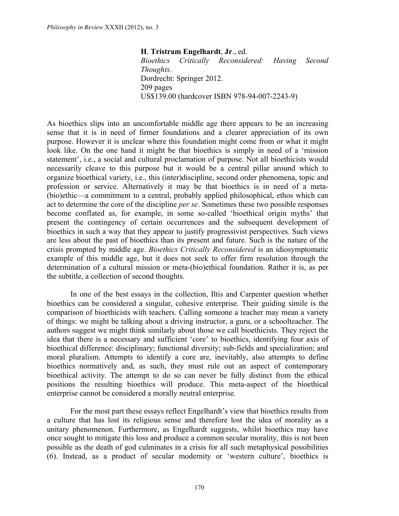**H**. **Tristram Engelhardt**, **Jr**., ed. *Bioethics Critically Reconsidered: Having Second Thoughts*. Dordrecht: Springer 2012. 209 pages US\$139.00 (hardcover ISBN 978-94-007-2243-9)

As bioethics slips into an uncomfortable middle age there appears to be an increasing sense that it is in need of firmer foundations and a clearer appreciation of its own purpose. However it is unclear where this foundation might come from or what it might look like. On the one hand it might be that bioethics is simply in need of a 'mission statement', i.e., a social and cultural proclamation of purpose. Not all bioethicists would necessarily cleave to this purpose but it would be a central pillar around which to organize bioethical variety, i.e., this (inter)discipline, second order phenomena, topic and profession or service. Alternatively it may be that bioethics is in need of a meta- (bio)ethic—a commitment to a central, probably applied philosophical, ethos which can act to determine the core of the discipline *per se*. Sometimes these two possible responses become conflated as, for example, in some so-called 'bioethical origin myths' that present the contingency of certain occurrences and the subsequent development of bioethics in such a way that they appear to justify progressivist perspectives. Such views are less about the past of bioethics than its present and future. Such is the nature of the crisis prompted by middle age. *Bioethics Critically Reconsidered* is an idiosymptomatic example of this middle age, but it does not seek to offer firm resolution through the determination of a cultural mission or meta-(bio)ethical foundation. Rather it is, as per the subtitle, a collection of second thoughts.

In one of the best essays in the collection, Iltis and Carpenter question whether bioethics can be considered a singular, cohesive enterprise. Their guiding simile is the comparison of bioethicists with teachers. Calling someone a teacher may mean a variety of things: we might be talking about a driving instructor, a guru, or a schoolteacher. The authors suggest we might think similarly about those we call bioethicists. They reject the idea that there is a necessary and sufficient 'core' to bioethics, identifying four axis of bioethical difference: disciplinary; functional diversity; sub-fields and specialization; and moral pluralism. Attempts to identify a core are, inevitably, also attempts to define bioethics normatively and, as such, they must rule out an aspect of contemporary bioethical activity. The attempt to do so can never be fully distinct from the ethical positions the resulting bioethics will produce. This meta-aspect of the bioethical enterprise cannot be considered a morally neutral enterprise.

For the most part these essays reflect Engelhardt's view that bioethics results from a culture that has lost its religious sense and therefore lost the idea of morality as a unitary phenomenon. Furthermore, as Engelhardt suggests, whilst bioethics may have once sought to mitigate this loss and produce a common secular morality, this is not been possible as the death of god culminates in a crisis for all such metaphysical possibilities (6). Instead, as a product of secular modernity or 'western culture', bioethics is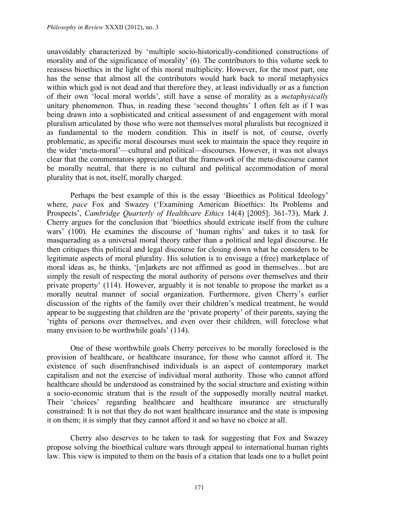unavoidably characterized by 'multiple socio-historically-conditioned constructions of morality and of the significance of morality' (6). The contributors to this volume seek to reassess bioethics in the light of this moral multiplicity. However, for the most part, one has the sense that almost all the contributors would hark back to moral metaphysics within which god is not dead and that therefore they, at least individually or as a function of their own 'local moral worlds', still have a sense of morality as a *metaphysically* unitary phenomenon. Thus, in reading these 'second thoughts' I often felt as if I was being drawn into a sophisticated and critical assessment of and engagement with moral pluralism articulated by those who were not themselves moral pluralists but recognized it as fundamental to the modern condition. This in itself is not, of course, overly problematic, as specific moral discourses must seek to maintain the space they require in the wider 'meta-moral'—cultural and political—discourses. However, it was not always clear that the commentators appreciated that the framework of the meta-discourse cannot be morally neutral, that there is no cultural and political accommodation of moral plurality that is not, itself, morally charged.

Perhaps the best example of this is the essay 'Bioethics as Political Ideology' where, *pace* Fox and Swazey ('Examining American Bioethics: Its Problems and Prospects', *Cambridge Quarterly of Healthcare Ethics* 14(4) [2005]: 361-73), Mark J. Cherry argues for the conclusion that 'bioethics should extricate itself from the culture wars' (100). He examines the discourse of 'human rights' and takes it to task for masquerading as a universal moral theory rather than a political and legal discourse. He then critiques this political and legal discourse for closing down what he considers to be legitimate aspects of moral plurality. His solution is to envisage a (free) marketplace of moral ideas as, he thinks, '[m]arkets are not affirmed as good in themselves…but are simply the result of respecting the moral authority of persons over themselves and their private property' (114). However, arguably it is not tenable to propose the market as a morally neutral manner of social organization. Furthermore, given Cherry's earlier discussion of the rights of the family over their children's medical treatment, he would appear to be suggesting that children are the 'private property' of their parents, saying the 'rights of persons over themselves, and even over their children, will foreclose what many envision to be worthwhile goals' (114).

One of these worthwhile goals Cherry perceives to be morally foreclosed is the provision of healthcare, or healthcare insurance, for those who cannot afford it. The existence of such disenfranchised individuals is an aspect of contemporary market capitalism and not the exercise of individual moral authority. Those who cannot afford healthcare should be understood as constrained by the social structure and existing within a socio-economic stratum that is the result of the supposedly morally neutral market. Their 'choices' regarding healthcare and healthcare insurance are structurally constrained: It is not that they do not want healthcare insurance and the state is imposing it on them; it is simply that they cannot afford it and so have no choice at all.

Cherry also deserves to be taken to task for suggesting that Fox and Swazey propose solving the bioethical culture wars through appeal to international human rights law. This view is imputed to them on the basis of a citation that leads one to a bullet point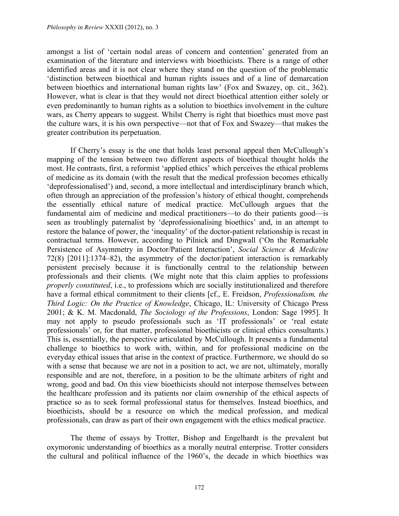amongst a list of 'certain nodal areas of concern and contention' generated from an examination of the literature and interviews with bioethicists. There is a range of other identified areas and it is not clear where they stand on the question of the problematic 'distinction between bioethical and human rights issues and of a line of demarcation between bioethics and international human rights law' (Fox and Swazey, op. cit., 362). However, what is clear is that they would not direct bioethical attention either solely or even predominantly to human rights as a solution to bioethics involvement in the culture wars, as Cherry appears to suggest. Whilst Cherry is right that bioethics must move past the culture wars, it is his own perspective—not that of Fox and Swazey—that makes the greater contribution its perpetuation.

If Cherry's essay is the one that holds least personal appeal then McCullough's mapping of the tension between two different aspects of bioethical thought holds the most. He contrasts, first, a reformist 'applied ethics' which perceives the ethical problems of medicine as its domain (with the result that the medical profession becomes ethically 'deprofessionalised') and, second, a more intellectual and interdisciplinary branch which, often through an appreciation of the profession's history of ethical thought, comprehends the essentially ethical nature of medical practice. McCullough argues that the fundamental aim of medicine and medical practitioners—to do their patients good—is seen as troublingly paternalist by 'deprofessionalising bioethics' and, in an attempt to restore the balance of power, the 'inequality' of the doctor-patient relationship is recast in contractual terms. However, according to Pilnick and Dingwall ('On the Remarkable Persistence of Asymmetry in Doctor/Patient Interaction', *Social Science & Medicine* 72(8) [2011]:1374–82), the asymmetry of the doctor/patient interaction is remarkably persistent precisely because it is functionally central to the relationship between professionals and their clients. (We might note that this claim applies to professions *properly constituted*, i.e., to professions which are socially institutionalized and therefore have a formal ethical commitment to their clients [cf., E. Freidson, *Professionalism, the Third Logic: On the Practice of Knowledge*, Chicago, IL: University of Chicago Press 2001; & K. M. Macdonald, *The Sociology of the Professions*, London: Sage 1995]. It may not apply to pseudo professionals such as 'IT professionals' or 'real estate professionals' or, for that matter, professional bioethicists or clinical ethics consultants.) This is, essentially, the perspective articulated by McCullough. It presents a fundamental challenge to bioethics to work with, within, and for professional medicine on the everyday ethical issues that arise in the context of practice. Furthermore, we should do so with a sense that because we are not in a position to act, we are not, ultimately, morally responsible and are not, therefore, in a position to be the ultimate arbiters of right and wrong, good and bad. On this view bioethicists should not interpose themselves between the healthcare profession and its patients nor claim ownership of the ethical aspects of practice so as to seek formal professional status for themselves. Instead bioethics, and bioethicists, should be a resource on which the medical profession, and medical professionals, can draw as part of their own engagement with the ethics medical practice.

The theme of essays by Trotter, Bishop and Engelhardt is the prevalent but oxymoronic understanding of bioethics as a morally neutral enterprise. Trotter considers the cultural and political influence of the 1960's, the decade in which bioethics was